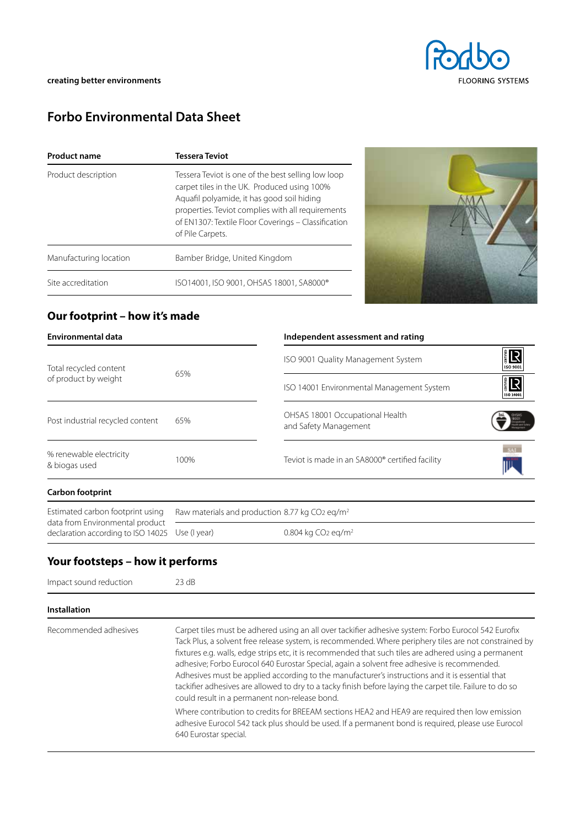

# **Forbo Environmental Data Sheet**

| <b>Product name</b>    | Tessera Teviot                                                                                                                                                                                                                                                                  |
|------------------------|---------------------------------------------------------------------------------------------------------------------------------------------------------------------------------------------------------------------------------------------------------------------------------|
| Product description    | Tessera Teviot is one of the best selling low loop<br>carpet tiles in the UK. Produced using 100%<br>Aquafil polyamide, it has good soil hiding<br>properties. Teviot complies with all requirements<br>of EN1307: Textile Floor Coverings - Classification<br>of Pile Carpets. |
| Manufacturing location | Bamber Bridge, United Kingdom                                                                                                                                                                                                                                                   |
| Site accreditation     | ISO14001, ISO 9001, OHSAS 18001, SA8000®                                                                                                                                                                                                                                        |



# **Our footprint – how it's made**

|              | Independent assessment and rating                        |                                                            |
|--------------|----------------------------------------------------------|------------------------------------------------------------|
| 65%          | ISO 9001 Quality Management System                       | IR<br>L<br><b>ISO 9001</b>                                 |
|              | ISO 14001 Environmental Management System                | 1R<br>ISO 14001                                            |
| 65%          | OHSAS 18001 Occupational Health<br>and Safety Management |                                                            |
| 100%         | Teviot is made in an SA8000® certified facility          |                                                            |
|              |                                                          |                                                            |
|              |                                                          |                                                            |
| Use (I year) | 0.804 kg $CO2$ eg/m <sup>2</sup>                         |                                                            |
|              |                                                          | Raw materials and production 8.77 kg CO2 eq/m <sup>2</sup> |

# **Your footsteps – how it performs**

| Impact sound reduction | 23 dB                                                                                                                                                                                                                                                                                                                                                                                                                                                                                                                                                                                                                                                                                 |  |  |  |  |  |
|------------------------|---------------------------------------------------------------------------------------------------------------------------------------------------------------------------------------------------------------------------------------------------------------------------------------------------------------------------------------------------------------------------------------------------------------------------------------------------------------------------------------------------------------------------------------------------------------------------------------------------------------------------------------------------------------------------------------|--|--|--|--|--|
| <b>Installation</b>    |                                                                                                                                                                                                                                                                                                                                                                                                                                                                                                                                                                                                                                                                                       |  |  |  |  |  |
| Recommended adhesives  | Carpet tiles must be adhered using an all over tackifier adhesive system: Forbo Eurocol 542 Eurofix<br>Tack Plus, a solvent free release system, is recommended. Where periphery tiles are not constrained by<br>fixtures e.g. walls, edge strips etc, it is recommended that such tiles are adhered using a permanent<br>adhesive; Forbo Eurocol 640 Eurostar Special, again a solvent free adhesive is recommended.<br>Adhesives must be applied according to the manufacturer's instructions and it is essential that<br>tackifier adhesives are allowed to dry to a tacky finish before laying the carpet tile. Failure to do so<br>could result in a permanent non-release bond. |  |  |  |  |  |
|                        | Where contribution to credits for BREEAM sections HEA2 and HEA9 are required then low emission<br>adhesive Eurocol 542 tack plus should be used. If a permanent bond is required, please use Eurocol<br>640 Eurostar special.                                                                                                                                                                                                                                                                                                                                                                                                                                                         |  |  |  |  |  |